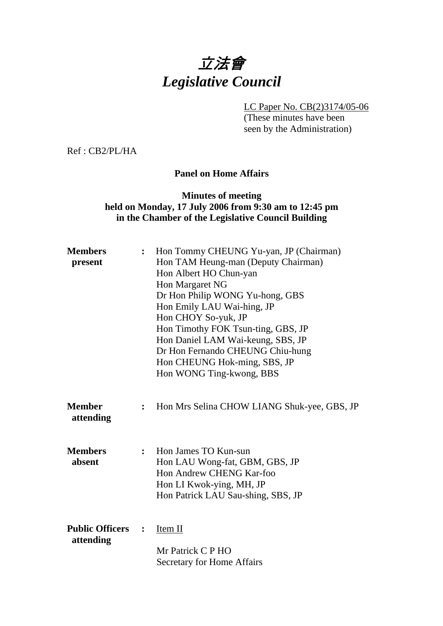# 立法會 *Legislative Council*

LC Paper No. CB(2)3174/05-06

(These minutes have been seen by the Administration)

Ref : CB2/PL/HA

#### **Panel on Home Affairs**

#### **Minutes of meeting held on Monday, 17 July 2006 from 9:30 am to 12:45 pm in the Chamber of the Legislative Council Building**

| <b>Members</b><br>present           | $\ddot{\cdot}$ | Hon Tommy CHEUNG Yu-yan, JP (Chairman)<br>Hon TAM Heung-man (Deputy Chairman)<br>Hon Albert HO Chun-yan<br>Hon Margaret NG<br>Dr Hon Philip WONG Yu-hong, GBS<br>Hon Emily LAU Wai-hing, JP<br>Hon CHOY So-yuk, JP<br>Hon Timothy FOK Tsun-ting, GBS, JP<br>Hon Daniel LAM Wai-keung, SBS, JP<br>Dr Hon Fernando CHEUNG Chiu-hung<br>Hon CHEUNG Hok-ming, SBS, JP<br>Hon WONG Ting-kwong, BBS |
|-------------------------------------|----------------|-----------------------------------------------------------------------------------------------------------------------------------------------------------------------------------------------------------------------------------------------------------------------------------------------------------------------------------------------------------------------------------------------|
| <b>Member</b><br>attending          | :              | Hon Mrs Selina CHOW LIANG Shuk-yee, GBS, JP                                                                                                                                                                                                                                                                                                                                                   |
| <b>Members</b><br>absent            | $\ddot{\cdot}$ | Hon James TO Kun-sun<br>Hon LAU Wong-fat, GBM, GBS, JP<br>Hon Andrew CHENG Kar-foo<br>Hon LI Kwok-ying, MH, JP<br>Hon Patrick LAU Sau-shing, SBS, JP                                                                                                                                                                                                                                          |
| <b>Public Officers</b><br>attending |                | Item II<br>Mr Patrick C P HO<br><b>Secretary for Home Affairs</b>                                                                                                                                                                                                                                                                                                                             |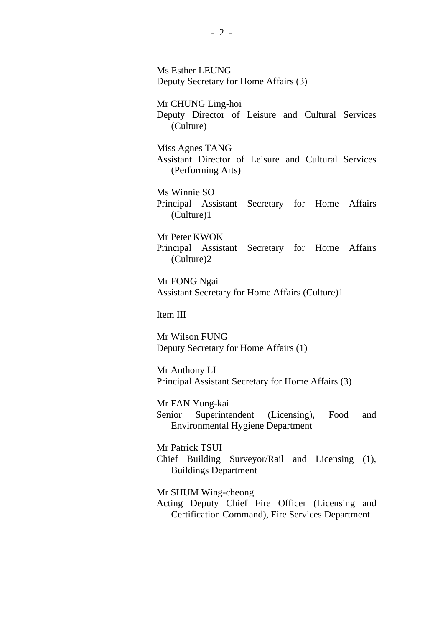Ms Esther LEUNG Deputy Secretary for Home Affairs (3)

Mr CHUNG Ling-hoi Deputy Director of Leisure and Cultural Services (Culture)

Miss Agnes TANG Assistant Director of Leisure and Cultural Services (Performing Arts)

Ms Winnie SO Principal Assistant Secretary for Home Affairs (Culture)1

Mr Peter KWOK Principal Assistant Secretary for Home Affairs (Culture)2

Mr FONG Ngai Assistant Secretary for Home Affairs (Culture)1

Item III

Mr Wilson FUNG Deputy Secretary for Home Affairs (1)

Mr Anthony LI Principal Assistant Secretary for Home Affairs (3)

Mr FAN Yung-kai Senior Superintendent (Licensing), Food and Environmental Hygiene Department

Mr Patrick TSUI Chief Building Surveyor/Rail and Licensing (1), Buildings Department

Mr SHUM Wing-cheong Acting Deputy Chief Fire Officer (Licensing and Certification Command), Fire Services Department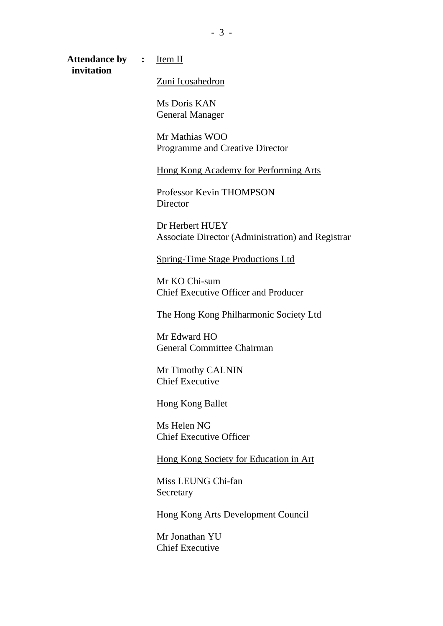Attendance by : **Item II invitation**

Zuni Icosahedron

Ms Doris KAN General Manager

Mr Mathias WOO Programme and Creative Director

Hong Kong Academy for Performing Arts

Professor Kevin THOMPSON **Director** 

Dr Herbert HUEY Associate Director (Administration) and Registrar

Spring-Time Stage Productions Ltd

Mr KO Chi-sum Chief Executive Officer and Producer

The Hong Kong Philharmonic Society Ltd

Mr Edward HO General Committee Chairman

Mr Timothy CALNIN Chief Executive

Hong Kong Ballet

Ms Helen NG Chief Executive Officer

Hong Kong Society for Education in Art

Miss LEUNG Chi-fan **Secretary** 

Hong Kong Arts Development Council

Mr Jonathan YU Chief Executive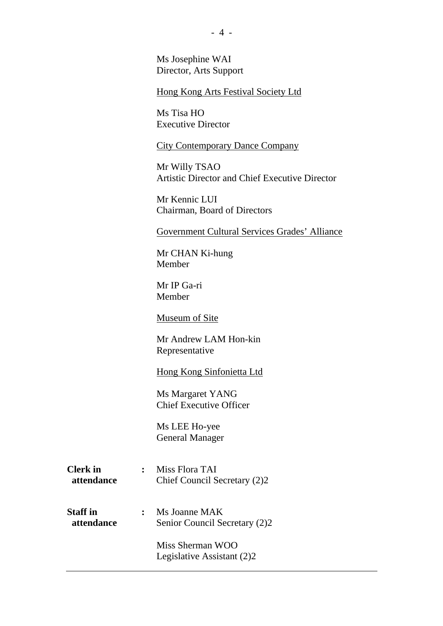Ms Josephine WAI Director, Arts Support

Hong Kong Arts Festival Society Ltd

Ms Tisa HO Executive Director

City Contemporary Dance Company

Mr Willy TSAO Artistic Director and Chief Executive Director

Mr Kennic LUI Chairman, Board of Directors

Government Cultural Services Grades' Alliance

Mr CHAN Ki-hung Member

Mr IP Ga-ri Member

Museum of Site

Mr Andrew LAM Hon-kin Representative

Hong Kong Sinfonietta Ltd

Ms Margaret YANG Chief Executive Officer

Ms LEE Ho-yee General Manager

- **Clerk in :** Miss Flora TAI  **attendance** Chief Council Secretary (2)2
- **Staff in :** Ms Joanne MAK **attendance** Senior Council Secretary (2)2

Miss Sherman WOO Legislative Assistant (2)2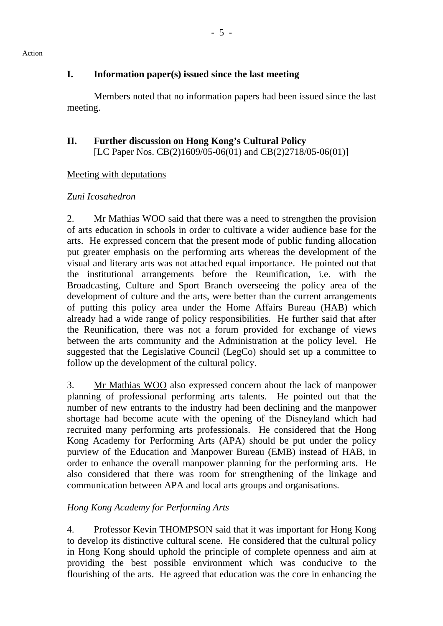# **I. Information paper(s) issued since the last meeting**

 Members noted that no information papers had been issued since the last meeting.

#### **II. Further discussion on Hong Kong's Cultural Policy**  [LC Paper Nos. CB(2)1609/05-06(01) and CB(2)2718/05-06(01)]

# Meeting with deputations

# *Zuni Icosahedron*

2. Mr Mathias WOO said that there was a need to strengthen the provision of arts education in schools in order to cultivate a wider audience base for the arts. He expressed concern that the present mode of public funding allocation put greater emphasis on the performing arts whereas the development of the visual and literary arts was not attached equal importance. He pointed out that the institutional arrangements before the Reunification, i.e. with the Broadcasting, Culture and Sport Branch overseeing the policy area of the development of culture and the arts, were better than the current arrangements of putting this policy area under the Home Affairs Bureau (HAB) which already had a wide range of policy responsibilities. He further said that after the Reunification, there was not a forum provided for exchange of views between the arts community and the Administration at the policy level. He suggested that the Legislative Council (LegCo) should set up a committee to follow up the development of the cultural policy.

3. Mr Mathias WOO also expressed concern about the lack of manpower planning of professional performing arts talents. He pointed out that the number of new entrants to the industry had been declining and the manpower shortage had become acute with the opening of the Disneyland which had recruited many performing arts professionals. He considered that the Hong Kong Academy for Performing Arts (APA) should be put under the policy purview of the Education and Manpower Bureau (EMB) instead of HAB, in order to enhance the overall manpower planning for the performing arts. He also considered that there was room for strengthening of the linkage and communication between APA and local arts groups and organisations.

# *Hong Kong Academy for Performing Arts*

4. Professor Kevin THOMPSON said that it was important for Hong Kong to develop its distinctive cultural scene. He considered that the cultural policy in Hong Kong should uphold the principle of complete openness and aim at providing the best possible environment which was conducive to the flourishing of the arts. He agreed that education was the core in enhancing the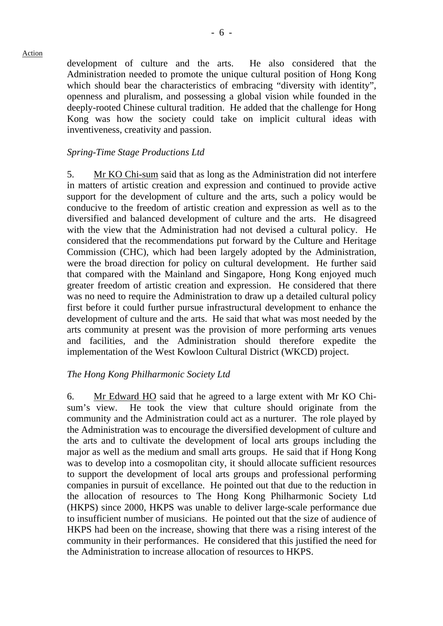development of culture and the arts. He also considered that the Administration needed to promote the unique cultural position of Hong Kong which should bear the characteristics of embracing "diversity with identity", openness and pluralism, and possessing a global vision while founded in the deeply-rooted Chinese cultural tradition. He added that the challenge for Hong Kong was how the society could take on implicit cultural ideas with inventiveness, creativity and passion.

#### *Spring-Time Stage Productions Ltd*

5. Mr KO Chi-sum said that as long as the Administration did not interfere in matters of artistic creation and expression and continued to provide active support for the development of culture and the arts, such a policy would be conducive to the freedom of artistic creation and expression as well as to the diversified and balanced development of culture and the arts. He disagreed with the view that the Administration had not devised a cultural policy. He considered that the recommendations put forward by the Culture and Heritage Commission (CHC), which had been largely adopted by the Administration, were the broad direction for policy on cultural development. He further said that compared with the Mainland and Singapore, Hong Kong enjoyed much greater freedom of artistic creation and expression. He considered that there was no need to require the Administration to draw up a detailed cultural policy first before it could further pursue infrastructural development to enhance the development of culture and the arts. He said that what was most needed by the arts community at present was the provision of more performing arts venues and facilities, and the Administration should therefore expedite the implementation of the West Kowloon Cultural District (WKCD) project.

#### *The Hong Kong Philharmonic Society Ltd*

6. Mr Edward HO said that he agreed to a large extent with Mr KO Chisum's view. He took the view that culture should originate from the community and the Administration could act as a nurturer. The role played by the Administration was to encourage the diversified development of culture and the arts and to cultivate the development of local arts groups including the major as well as the medium and small arts groups. He said that if Hong Kong was to develop into a cosmopolitan city, it should allocate sufficient resources to support the development of local arts groups and professional performing companies in pursuit of excellance. He pointed out that due to the reduction in the allocation of resources to The Hong Kong Philharmonic Society Ltd (HKPS) since 2000, HKPS was unable to deliver large-scale performance due to insufficient number of musicians. He pointed out that the size of audience of HKPS had been on the increase, showing that there was a rising interest of the community in their performances. He considered that this justified the need for the Administration to increase allocation of resources to HKPS.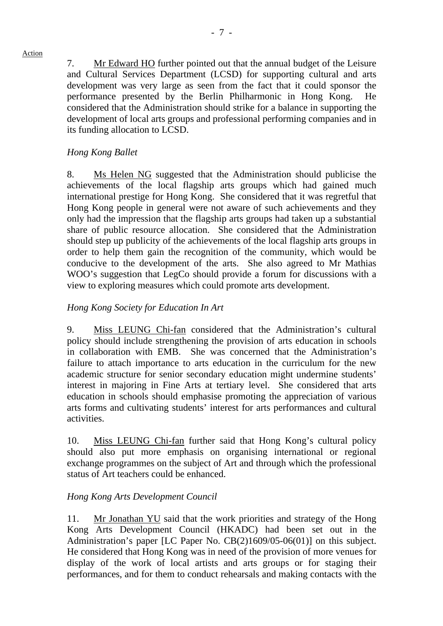7. Mr Edward HO further pointed out that the annual budget of the Leisure and Cultural Services Department (LCSD) for supporting cultural and arts development was very large as seen from the fact that it could sponsor the performance presented by the Berlin Philharmonic in Hong Kong. He considered that the Administration should strike for a balance in supporting the development of local arts groups and professional performing companies and in its funding allocation to LCSD.

# *Hong Kong Ballet*

8. Ms Helen NG suggested that the Administration should publicise the achievements of the local flagship arts groups which had gained much international prestige for Hong Kong. She considered that it was regretful that Hong Kong people in general were not aware of such achievements and they only had the impression that the flagship arts groups had taken up a substantial share of public resource allocation. She considered that the Administration should step up publicity of the achievements of the local flagship arts groups in order to help them gain the recognition of the community, which would be conducive to the development of the arts. She also agreed to Mr Mathias WOO's suggestion that LegCo should provide a forum for discussions with a view to exploring measures which could promote arts development.

#### *Hong Kong Society for Education In Art*

9. Miss LEUNG Chi-fan considered that the Administration's cultural policy should include strengthening the provision of arts education in schools in collaboration with EMB. She was concerned that the Administration's failure to attach importance to arts education in the curriculum for the new academic structure for senior secondary education might undermine students' interest in majoring in Fine Arts at tertiary level. She considered that arts education in schools should emphasise promoting the appreciation of various arts forms and cultivating students' interest for arts performances and cultural activities.

10. Miss LEUNG Chi-fan further said that Hong Kong's cultural policy should also put more emphasis on organising international or regional exchange programmes on the subject of Art and through which the professional status of Art teachers could be enhanced.

# *Hong Kong Arts Development Council*

11. Mr Jonathan YU said that the work priorities and strategy of the Hong Kong Arts Development Council (HKADC) had been set out in the Administration's paper [LC Paper No. CB(2)1609/05-06(01)] on this subject. He considered that Hong Kong was in need of the provision of more venues for display of the work of local artists and arts groups or for staging their performances, and for them to conduct rehearsals and making contacts with the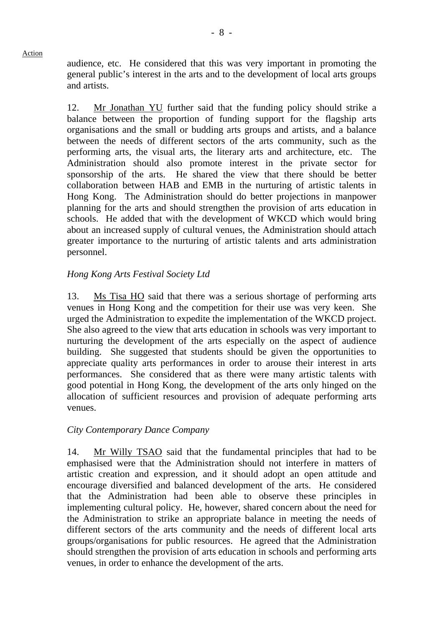audience, etc. He considered that this was very important in promoting the general public's interest in the arts and to the development of local arts groups and artists.

12. Mr Jonathan YU further said that the funding policy should strike a balance between the proportion of funding support for the flagship arts organisations and the small or budding arts groups and artists, and a balance between the needs of different sectors of the arts community, such as the performing arts, the visual arts, the literary arts and architecture, etc. The Administration should also promote interest in the private sector for sponsorship of the arts. He shared the view that there should be better collaboration between HAB and EMB in the nurturing of artistic talents in Hong Kong. The Administration should do better projections in manpower planning for the arts and should strengthen the provision of arts education in schools. He added that with the development of WKCD which would bring about an increased supply of cultural venues, the Administration should attach greater importance to the nurturing of artistic talents and arts administration personnel.

# *Hong Kong Arts Festival Society Ltd*

13. Ms Tisa HO said that there was a serious shortage of performing arts venues in Hong Kong and the competition for their use was very keen. She urged the Administration to expedite the implementation of the WKCD project. She also agreed to the view that arts education in schools was very important to nurturing the development of the arts especially on the aspect of audience building. She suggested that students should be given the opportunities to appreciate quality arts performances in order to arouse their interest in arts performances. She considered that as there were many artistic talents with good potential in Hong Kong, the development of the arts only hinged on the allocation of sufficient resources and provision of adequate performing arts venues.

#### *City Contemporary Dance Company*

14. Mr Willy TSAO said that the fundamental principles that had to be emphasised were that the Administration should not interfere in matters of artistic creation and expression, and it should adopt an open attitude and encourage diversified and balanced development of the arts. He considered that the Administration had been able to observe these principles in implementing cultural policy. He, however, shared concern about the need for the Administration to strike an appropriate balance in meeting the needs of different sectors of the arts community and the needs of different local arts groups/organisations for public resources. He agreed that the Administration should strengthen the provision of arts education in schools and performing arts venues, in order to enhance the development of the arts.

#### Action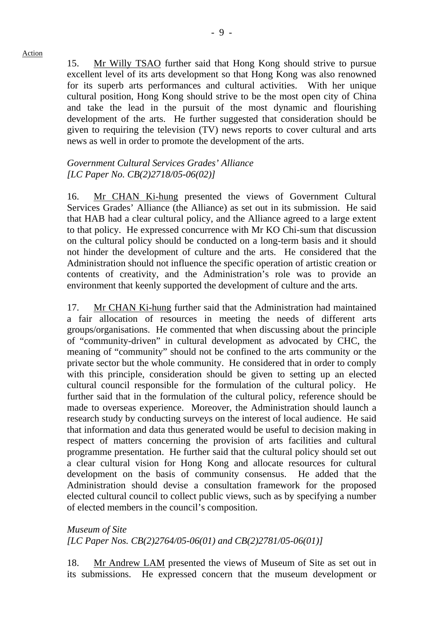15. Mr Willy TSAO further said that Hong Kong should strive to pursue excellent level of its arts development so that Hong Kong was also renowned for its superb arts performances and cultural activities. With her unique cultural position, Hong Kong should strive to be the most open city of China and take the lead in the pursuit of the most dynamic and flourishing development of the arts. He further suggested that consideration should be given to requiring the television (TV) news reports to cover cultural and arts news as well in order to promote the development of the arts.

#### *Government Cultural Services Grades' Alliance [LC Paper No. CB(2)2718/05-06(02)]*

16. Mr CHAN Ki-hung presented the views of Government Cultural Services Grades' Alliance (the Alliance) as set out in its submission. He said that HAB had a clear cultural policy, and the Alliance agreed to a large extent to that policy. He expressed concurrence with Mr KO Chi-sum that discussion on the cultural policy should be conducted on a long-term basis and it should not hinder the development of culture and the arts. He considered that the Administration should not influence the specific operation of artistic creation or contents of creativity, and the Administration's role was to provide an environment that keenly supported the development of culture and the arts.

17. Mr CHAN Ki-hung further said that the Administration had maintained a fair allocation of resources in meeting the needs of different arts groups/organisations. He commented that when discussing about the principle of "community-driven" in cultural development as advocated by CHC, the meaning of "community" should not be confined to the arts community or the private sector but the whole community. He considered that in order to comply with this principle, consideration should be given to setting up an elected cultural council responsible for the formulation of the cultural policy. He further said that in the formulation of the cultural policy, reference should be made to overseas experience. Moreover, the Administration should launch a research study by conducting surveys on the interest of local audience. He said that information and data thus generated would be useful to decision making in respect of matters concerning the provision of arts facilities and cultural programme presentation. He further said that the cultural policy should set out a clear cultural vision for Hong Kong and allocate resources for cultural development on the basis of community consensus. He added that the Administration should devise a consultation framework for the proposed elected cultural council to collect public views, such as by specifying a number of elected members in the council's composition.

*Museum of Site [LC Paper Nos. CB(2)2764/05-06(01) and CB(2)2781/05-06(01)]* 

18. Mr Andrew LAM presented the views of Museum of Site as set out in its submissions. He expressed concern that the museum development or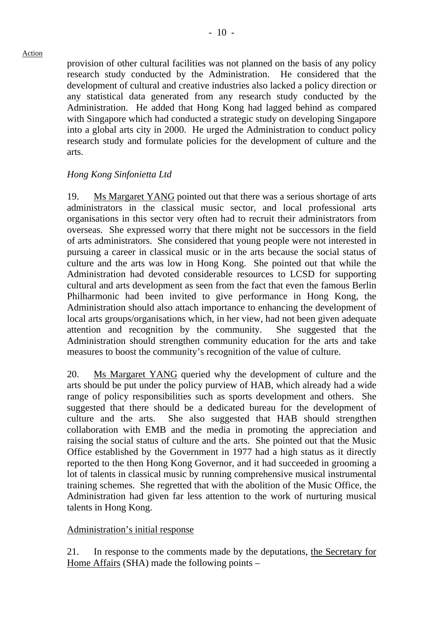provision of other cultural facilities was not planned on the basis of any policy research study conducted by the Administration. He considered that the development of cultural and creative industries also lacked a policy direction or any statistical data generated from any research study conducted by the Administration. He added that Hong Kong had lagged behind as compared with Singapore which had conducted a strategic study on developing Singapore into a global arts city in 2000. He urged the Administration to conduct policy research study and formulate policies for the development of culture and the arts.

#### *Hong Kong Sinfonietta Ltd*

19. Ms Margaret YANG pointed out that there was a serious shortage of arts administrators in the classical music sector, and local professional arts organisations in this sector very often had to recruit their administrators from overseas. She expressed worry that there might not be successors in the field of arts administrators. She considered that young people were not interested in pursuing a career in classical music or in the arts because the social status of culture and the arts was low in Hong Kong. She pointed out that while the Administration had devoted considerable resources to LCSD for supporting cultural and arts development as seen from the fact that even the famous Berlin Philharmonic had been invited to give performance in Hong Kong, the Administration should also attach importance to enhancing the development of local arts groups/organisations which, in her view, had not been given adequate attention and recognition by the community. She suggested that the Administration should strengthen community education for the arts and take measures to boost the community's recognition of the value of culture.

20. Ms Margaret YANG queried why the development of culture and the arts should be put under the policy purview of HAB, which already had a wide range of policy responsibilities such as sports development and others. She suggested that there should be a dedicated bureau for the development of culture and the arts. She also suggested that HAB should strengthen collaboration with EMB and the media in promoting the appreciation and raising the social status of culture and the arts. She pointed out that the Music Office established by the Government in 1977 had a high status as it directly reported to the then Hong Kong Governor, and it had succeeded in grooming a lot of talents in classical music by running comprehensive musical instrumental training schemes. She regretted that with the abolition of the Music Office, the Administration had given far less attention to the work of nurturing musical talents in Hong Kong.

#### Administration's initial response

21. In response to the comments made by the deputations, the Secretary for Home Affairs (SHA) made the following points –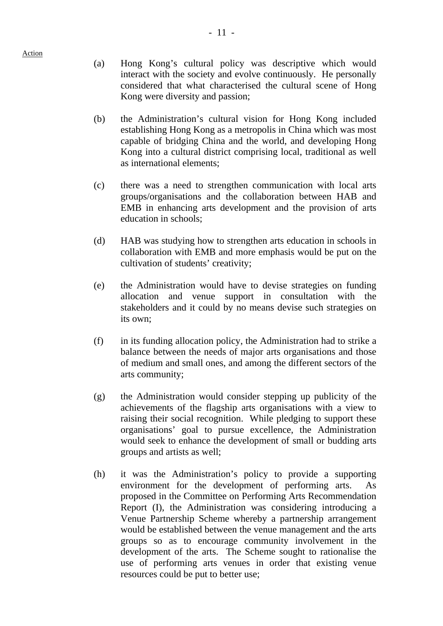- (a) Hong Kong's cultural policy was descriptive which would interact with the society and evolve continuously. He personally considered that what characterised the cultural scene of Hong Kong were diversity and passion;
- (b) the Administration's cultural vision for Hong Kong included establishing Hong Kong as a metropolis in China which was most capable of bridging China and the world, and developing Hong Kong into a cultural district comprising local, traditional as well as international elements;
- (c) there was a need to strengthen communication with local arts groups/organisations and the collaboration between HAB and EMB in enhancing arts development and the provision of arts education in schools;
- (d) HAB was studying how to strengthen arts education in schools in collaboration with EMB and more emphasis would be put on the cultivation of students' creativity;
- (e) the Administration would have to devise strategies on funding allocation and venue support in consultation with the stakeholders and it could by no means devise such strategies on its own;
- (f) in its funding allocation policy, the Administration had to strike a balance between the needs of major arts organisations and those of medium and small ones, and among the different sectors of the arts community;
- (g) the Administration would consider stepping up publicity of the achievements of the flagship arts organisations with a view to raising their social recognition. While pledging to support these organisations' goal to pursue excellence, the Administration would seek to enhance the development of small or budding arts groups and artists as well;
- (h) it was the Administration's policy to provide a supporting environment for the development of performing arts. As proposed in the Committee on Performing Arts Recommendation Report (I), the Administration was considering introducing a Venue Partnership Scheme whereby a partnership arrangement would be established between the venue management and the arts groups so as to encourage community involvement in the development of the arts. The Scheme sought to rationalise the use of performing arts venues in order that existing venue resources could be put to better use;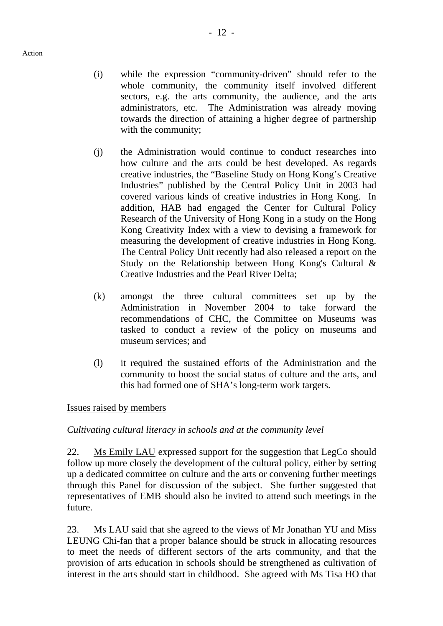- (i) while the expression "community-driven" should refer to the whole community, the community itself involved different sectors, e.g. the arts community, the audience, and the arts administrators, etc. The Administration was already moving towards the direction of attaining a higher degree of partnership with the community;
- (j) the Administration would continue to conduct researches into how culture and the arts could be best developed. As regards creative industries, the "Baseline Study on Hong Kong's Creative Industries" published by the Central Policy Unit in 2003 had covered various kinds of creative industries in Hong Kong. In addition, HAB had engaged the Center for Cultural Policy Research of the University of Hong Kong in a study on the Hong Kong Creativity Index with a view to devising a framework for measuring the development of creative industries in Hong Kong. The Central Policy Unit recently had also released a report on the Study on the Relationship between Hong Kong's Cultural & Creative Industries and the Pearl River Delta;
- (k) amongst the three cultural committees set up by the Administration in November 2004 to take forward the recommendations of CHC, the Committee on Museums was tasked to conduct a review of the policy on museums and museum services; and
- (l) it required the sustained efforts of the Administration and the community to boost the social status of culture and the arts, and this had formed one of SHA's long-term work targets.

# Issues raised by members

# *Cultivating cultural literacy in schools and at the community level*

22. Ms Emily LAU expressed support for the suggestion that LegCo should follow up more closely the development of the cultural policy, either by setting up a dedicated committee on culture and the arts or convening further meetings through this Panel for discussion of the subject. She further suggested that representatives of EMB should also be invited to attend such meetings in the future.

23. Ms LAU said that she agreed to the views of Mr Jonathan YU and Miss LEUNG Chi-fan that a proper balance should be struck in allocating resources to meet the needs of different sectors of the arts community, and that the provision of arts education in schools should be strengthened as cultivation of interest in the arts should start in childhood. She agreed with Ms Tisa HO that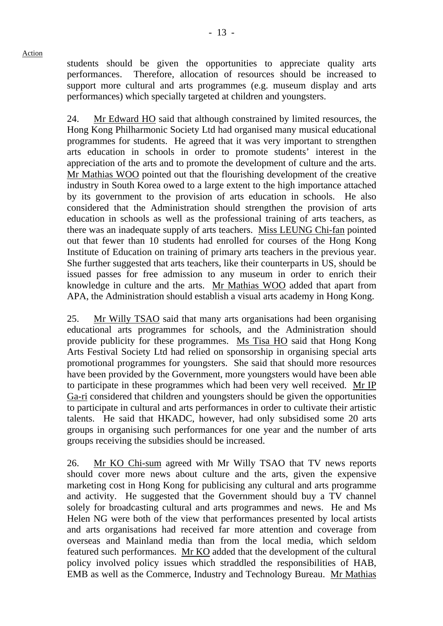students should be given the opportunities to appreciate quality arts performances. Therefore, allocation of resources should be increased to support more cultural and arts programmes (e.g. museum display and arts performances) which specially targeted at children and youngsters.

24. Mr Edward HO said that although constrained by limited resources, the Hong Kong Philharmonic Society Ltd had organised many musical educational programmes for students. He agreed that it was very important to strengthen arts education in schools in order to promote students' interest in the appreciation of the arts and to promote the development of culture and the arts. Mr Mathias WOO pointed out that the flourishing development of the creative industry in South Korea owed to a large extent to the high importance attached by its government to the provision of arts education in schools. He also considered that the Administration should strengthen the provision of arts education in schools as well as the professional training of arts teachers, as there was an inadequate supply of arts teachers. Miss LEUNG Chi-fan pointed out that fewer than 10 students had enrolled for courses of the Hong Kong Institute of Education on training of primary arts teachers in the previous year. She further suggested that arts teachers, like their counterparts in US, should be issued passes for free admission to any museum in order to enrich their knowledge in culture and the arts. Mr Mathias WOO added that apart from APA, the Administration should establish a visual arts academy in Hong Kong.

25. Mr Willy TSAO said that many arts organisations had been organising educational arts programmes for schools, and the Administration should provide publicity for these programmes. Ms Tisa HO said that Hong Kong Arts Festival Society Ltd had relied on sponsorship in organising special arts promotional programmes for youngsters. She said that should more resources have been provided by the Government, more youngsters would have been able to participate in these programmes which had been very well received. Mr IP Ga-ri considered that children and youngsters should be given the opportunities to participate in cultural and arts performances in order to cultivate their artistic talents. He said that HKADC, however, had only subsidised some 20 arts groups in organising such performances for one year and the number of arts groups receiving the subsidies should be increased.

26. Mr KO Chi-sum agreed with Mr Willy TSAO that TV news reports should cover more news about culture and the arts, given the expensive marketing cost in Hong Kong for publicising any cultural and arts programme and activity. He suggested that the Government should buy a TV channel solely for broadcasting cultural and arts programmes and news. He and Ms Helen NG were both of the view that performances presented by local artists and arts organisations had received far more attention and coverage from overseas and Mainland media than from the local media, which seldom featured such performances. Mr KO added that the development of the cultural policy involved policy issues which straddled the responsibilities of HAB, EMB as well as the Commerce, Industry and Technology Bureau. Mr Mathias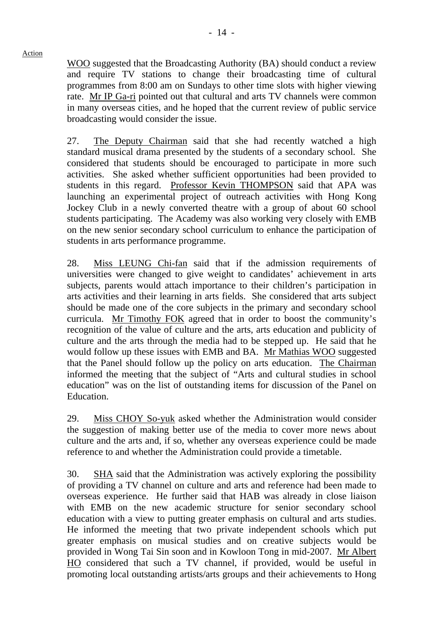WOO suggested that the Broadcasting Authority (BA) should conduct a review and require TV stations to change their broadcasting time of cultural programmes from 8:00 am on Sundays to other time slots with higher viewing rate. Mr IP Ga-ri pointed out that cultural and arts TV channels were common in many overseas cities, and he hoped that the current review of public service broadcasting would consider the issue.

27. The Deputy Chairman said that she had recently watched a high standard musical drama presented by the students of a secondary school. She considered that students should be encouraged to participate in more such activities. She asked whether sufficient opportunities had been provided to students in this regard. Professor Kevin THOMPSON said that APA was launching an experimental project of outreach activities with Hong Kong Jockey Club in a newly converted theatre with a group of about 60 school students participating. The Academy was also working very closely with EMB on the new senior secondary school curriculum to enhance the participation of students in arts performance programme.

28. Miss LEUNG Chi-fan said that if the admission requirements of universities were changed to give weight to candidates' achievement in arts subjects, parents would attach importance to their children's participation in arts activities and their learning in arts fields. She considered that arts subject should be made one of the core subjects in the primary and secondary school curricula. Mr Timothy FOK agreed that in order to boost the community's recognition of the value of culture and the arts, arts education and publicity of culture and the arts through the media had to be stepped up. He said that he would follow up these issues with EMB and BA. Mr Mathias WOO suggested that the Panel should follow up the policy on arts education. The Chairman informed the meeting that the subject of "Arts and cultural studies in school education" was on the list of outstanding items for discussion of the Panel on Education.

29. Miss CHOY So-yuk asked whether the Administration would consider the suggestion of making better use of the media to cover more news about culture and the arts and, if so, whether any overseas experience could be made reference to and whether the Administration could provide a timetable.

30. SHA said that the Administration was actively exploring the possibility of providing a TV channel on culture and arts and reference had been made to overseas experience. He further said that HAB was already in close liaison with EMB on the new academic structure for senior secondary school education with a view to putting greater emphasis on cultural and arts studies. He informed the meeting that two private independent schools which put greater emphasis on musical studies and on creative subjects would be provided in Wong Tai Sin soon and in Kowloon Tong in mid-2007. Mr Albert HO considered that such a TV channel, if provided, would be useful in promoting local outstanding artists/arts groups and their achievements to Hong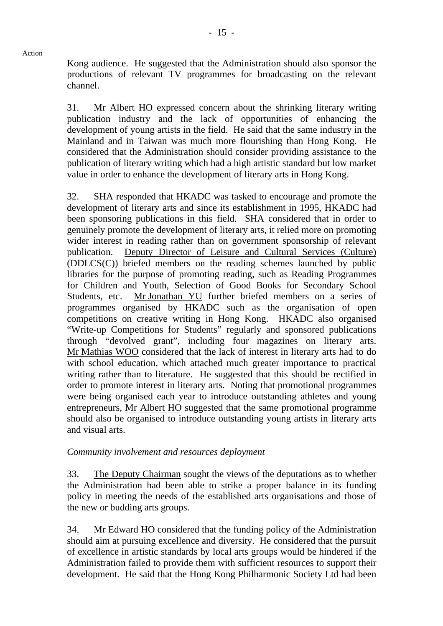Kong audience. He suggested that the Administration should also sponsor the productions of relevant TV programmes for broadcasting on the relevant channel.

31. Mr Albert HO expressed concern about the shrinking literary writing publication industry and the lack of opportunities of enhancing the development of young artists in the field. He said that the same industry in the Mainland and in Taiwan was much more flourishing than Hong Kong. He considered that the Administration should consider providing assistance to the publication of literary writing which had a high artistic standard but low market value in order to enhance the development of literary arts in Hong Kong.

32. SHA responded that HKADC was tasked to encourage and promote the development of literary arts and since its establishment in 1995, HKADC had been sponsoring publications in this field. SHA considered that in order to genuinely promote the development of literary arts, it relied more on promoting wider interest in reading rather than on government sponsorship of relevant publication. Deputy Director of Leisure and Cultural Services (Culture) (DDLCS(C)) briefed members on the reading schemes launched by public libraries for the purpose of promoting reading, such as Reading Programmes for Children and Youth, Selection of Good Books for Secondary School Students, etc. Mr Jonathan YU further briefed members on a series of programmes organised by HKADC such as the organisation of open competitions on creative writing in Hong Kong. HKADC also organised "Write-up Competitions for Students" regularly and sponsored publications through "devolved grant", including four magazines on literary arts. Mr Mathias WOO considered that the lack of interest in literary arts had to do with school education, which attached much greater importance to practical writing rather than to literature. He suggested that this should be rectified in order to promote interest in literary arts. Noting that promotional programmes were being organised each year to introduce outstanding athletes and young entrepreneurs, Mr Albert HO suggested that the same promotional programme should also be organised to introduce outstanding young artists in literary arts and visual arts.

#### *Community involvement and resources deployment*

33. The Deputy Chairman sought the views of the deputations as to whether the Administration had been able to strike a proper balance in its funding policy in meeting the needs of the established arts organisations and those of the new or budding arts groups.

34. Mr Edward HO considered that the funding policy of the Administration should aim at pursuing excellence and diversity. He considered that the pursuit of excellence in artistic standards by local arts groups would be hindered if the Administration failed to provide them with sufficient resources to support their development. He said that the Hong Kong Philharmonic Society Ltd had been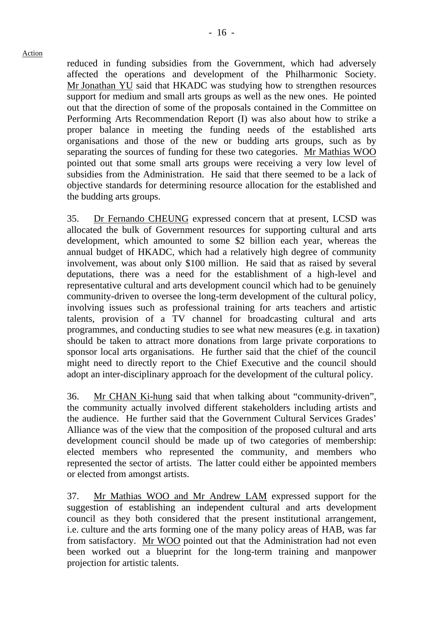reduced in funding subsidies from the Government, which had adversely affected the operations and development of the Philharmonic Society. Mr Jonathan YU said that HKADC was studying how to strengthen resources support for medium and small arts groups as well as the new ones. He pointed out that the direction of some of the proposals contained in the Committee on Performing Arts Recommendation Report (I) was also about how to strike a proper balance in meeting the funding needs of the established arts organisations and those of the new or budding arts groups, such as by separating the sources of funding for these two categories. Mr Mathias WOO pointed out that some small arts groups were receiving a very low level of subsidies from the Administration. He said that there seemed to be a lack of objective standards for determining resource allocation for the established and the budding arts groups.

35. Dr Fernando CHEUNG expressed concern that at present, LCSD was allocated the bulk of Government resources for supporting cultural and arts development, which amounted to some \$2 billion each year, whereas the annual budget of HKADC, which had a relatively high degree of community involvement, was about only \$100 million. He said that as raised by several deputations, there was a need for the establishment of a high-level and representative cultural and arts development council which had to be genuinely community-driven to oversee the long-term development of the cultural policy, involving issues such as professional training for arts teachers and artistic talents, provision of a TV channel for broadcasting cultural and arts programmes, and conducting studies to see what new measures (e.g. in taxation) should be taken to attract more donations from large private corporations to sponsor local arts organisations. He further said that the chief of the council might need to directly report to the Chief Executive and the council should adopt an inter-disciplinary approach for the development of the cultural policy.

36. Mr CHAN Ki-hung said that when talking about "community-driven", the community actually involved different stakeholders including artists and the audience. He further said that the Government Cultural Services Grades' Alliance was of the view that the composition of the proposed cultural and arts development council should be made up of two categories of membership: elected members who represented the community, and members who represented the sector of artists. The latter could either be appointed members or elected from amongst artists.

37. Mr Mathias WOO and Mr Andrew LAM expressed support for the suggestion of establishing an independent cultural and arts development council as they both considered that the present institutional arrangement, i.e. culture and the arts forming one of the many policy areas of HAB, was far from satisfactory. Mr WOO pointed out that the Administration had not even been worked out a blueprint for the long-term training and manpower projection for artistic talents.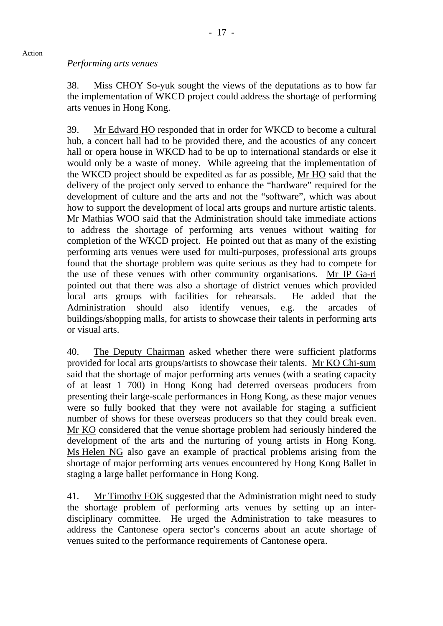#### *Performing arts venues*

38. Miss CHOY So-yuk sought the views of the deputations as to how far the implementation of WKCD project could address the shortage of performing arts venues in Hong Kong.

39. Mr Edward HO responded that in order for WKCD to become a cultural hub, a concert hall had to be provided there, and the acoustics of any concert hall or opera house in WKCD had to be up to international standards or else it would only be a waste of money. While agreeing that the implementation of the WKCD project should be expedited as far as possible, Mr HO said that the delivery of the project only served to enhance the "hardware" required for the development of culture and the arts and not the "software", which was about how to support the development of local arts groups and nurture artistic talents. Mr Mathias WOO said that the Administration should take immediate actions to address the shortage of performing arts venues without waiting for completion of the WKCD project. He pointed out that as many of the existing performing arts venues were used for multi-purposes, professional arts groups found that the shortage problem was quite serious as they had to compete for the use of these venues with other community organisations. Mr IP Ga-ri pointed out that there was also a shortage of district venues which provided local arts groups with facilities for rehearsals. He added that the Administration should also identify venues, e.g. the arcades of buildings/shopping malls, for artists to showcase their talents in performing arts or visual arts.

40. The Deputy Chairman asked whether there were sufficient platforms provided for local arts groups/artists to showcase their talents. Mr KO Chi-sum said that the shortage of major performing arts venues (with a seating capacity of at least 1 700) in Hong Kong had deterred overseas producers from presenting their large-scale performances in Hong Kong, as these major venues were so fully booked that they were not available for staging a sufficient number of shows for these overseas producers so that they could break even. Mr KO considered that the venue shortage problem had seriously hindered the development of the arts and the nurturing of young artists in Hong Kong. Ms Helen NG also gave an example of practical problems arising from the shortage of major performing arts venues encountered by Hong Kong Ballet in staging a large ballet performance in Hong Kong.

41. Mr Timothy FOK suggested that the Administration might need to study the shortage problem of performing arts venues by setting up an interdisciplinary committee. He urged the Administration to take measures to address the Cantonese opera sector's concerns about an acute shortage of venues suited to the performance requirements of Cantonese opera.

#### Action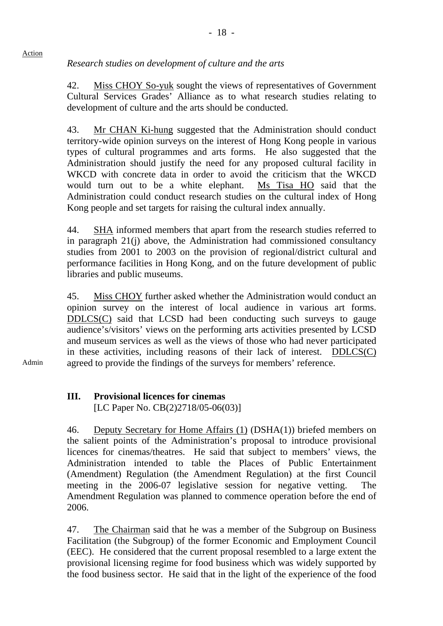# *Research studies on development of culture and the arts*

42. Miss CHOY So-yuk sought the views of representatives of Government Cultural Services Grades' Alliance as to what research studies relating to development of culture and the arts should be conducted.

43. Mr CHAN Ki-hung suggested that the Administration should conduct territory-wide opinion surveys on the interest of Hong Kong people in various types of cultural programmes and arts forms. He also suggested that the Administration should justify the need for any proposed cultural facility in WKCD with concrete data in order to avoid the criticism that the WKCD would turn out to be a white elephant. Ms Tisa HO said that the Administration could conduct research studies on the cultural index of Hong Kong people and set targets for raising the cultural index annually.

44. SHA informed members that apart from the research studies referred to in paragraph 21(j) above, the Administration had commissioned consultancy studies from 2001 to 2003 on the provision of regional/district cultural and performance facilities in Hong Kong, and on the future development of public libraries and public museums.

45. Miss CHOY further asked whether the Administration would conduct an opinion survey on the interest of local audience in various art forms. DDLCS(C) said that LCSD had been conducting such surveys to gauge audience's/visitors' views on the performing arts activities presented by LCSD and museum services as well as the views of those who had never participated in these activities, including reasons of their lack of interest. DDLCS(C) agreed to provide the findings of the surveys for members' reference.

Admin

#### **III. Provisional licences for cinemas** [LC Paper No. CB(2)2718/05-06(03)]

46. Deputy Secretary for Home Affairs (1) (DSHA(1)) briefed members on the salient points of the Administration's proposal to introduce provisional licences for cinemas/theatres. He said that subject to members' views, the Administration intended to table the Places of Public Entertainment (Amendment) Regulation (the Amendment Regulation) at the first Council meeting in the 2006-07 legislative session for negative vetting. The Amendment Regulation was planned to commence operation before the end of 2006.

47. The Chairman said that he was a member of the Subgroup on Business Facilitation (the Subgroup) of the former Economic and Employment Council (EEC). He considered that the current proposal resembled to a large extent the provisional licensing regime for food business which was widely supported by the food business sector. He said that in the light of the experience of the food

Action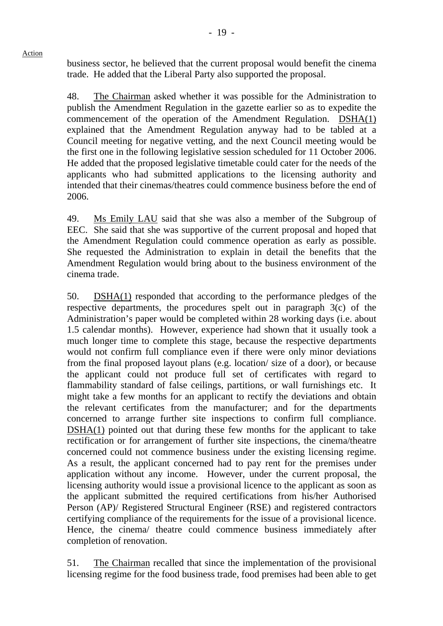business sector, he believed that the current proposal would benefit the cinema trade. He added that the Liberal Party also supported the proposal.

48. The Chairman asked whether it was possible for the Administration to publish the Amendment Regulation in the gazette earlier so as to expedite the commencement of the operation of the Amendment Regulation. DSHA(1) explained that the Amendment Regulation anyway had to be tabled at a Council meeting for negative vetting, and the next Council meeting would be the first one in the following legislative session scheduled for 11 October 2006. He added that the proposed legislative timetable could cater for the needs of the applicants who had submitted applications to the licensing authority and intended that their cinemas/theatres could commence business before the end of 2006.

49. Ms Emily LAU said that she was also a member of the Subgroup of EEC. She said that she was supportive of the current proposal and hoped that the Amendment Regulation could commence operation as early as possible. She requested the Administration to explain in detail the benefits that the Amendment Regulation would bring about to the business environment of the cinema trade.

50. DSHA(1) responded that according to the performance pledges of the respective departments, the procedures spelt out in paragraph 3(c) of the Administration's paper would be completed within 28 working days (i.e. about 1.5 calendar months). However, experience had shown that it usually took a much longer time to complete this stage, because the respective departments would not confirm full compliance even if there were only minor deviations from the final proposed layout plans (e.g. location/ size of a door), or because the applicant could not produce full set of certificates with regard to flammability standard of false ceilings, partitions, or wall furnishings etc. It might take a few months for an applicant to rectify the deviations and obtain the relevant certificates from the manufacturer; and for the departments concerned to arrange further site inspections to confirm full compliance. DSHA(1) pointed out that during these few months for the applicant to take rectification or for arrangement of further site inspections, the cinema/theatre concerned could not commence business under the existing licensing regime. As a result, the applicant concerned had to pay rent for the premises under application without any income. However, under the current proposal, the licensing authority would issue a provisional licence to the applicant as soon as the applicant submitted the required certifications from his/her Authorised Person (AP)/ Registered Structural Engineer (RSE) and registered contractors certifying compliance of the requirements for the issue of a provisional licence. Hence, the cinema/ theatre could commence business immediately after completion of renovation.

51. The Chairman recalled that since the implementation of the provisional licensing regime for the food business trade, food premises had been able to get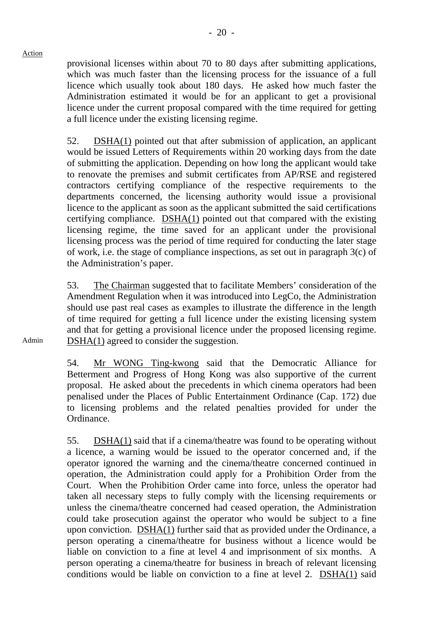provisional licenses within about 70 to 80 days after submitting applications, which was much faster than the licensing process for the issuance of a full licence which usually took about 180 days. He asked how much faster the Administration estimated it would be for an applicant to get a provisional licence under the current proposal compared with the time required for getting a full licence under the existing licensing regime.

52. DSHA(1) pointed out that after submission of application, an applicant would be issued Letters of Requirements within 20 working days from the date of submitting the application. Depending on how long the applicant would take to renovate the premises and submit certificates from AP/RSE and registered contractors certifying compliance of the respective requirements to the departments concerned, the licensing authority would issue a provisional licence to the applicant as soon as the applicant submitted the said certifications certifying compliance. DSHA(1) pointed out that compared with the existing licensing regime, the time saved for an applicant under the provisional licensing process was the period of time required for conducting the later stage of work, i.e. the stage of compliance inspections, as set out in paragraph 3(c) of the Administration's paper.

53. The Chairman suggested that to facilitate Members' consideration of the Amendment Regulation when it was introduced into LegCo, the Administration should use past real cases as examples to illustrate the difference in the length of time required for getting a full licence under the existing licensing system and that for getting a provisional licence under the proposed licensing regime. DSHA(1) agreed to consider the suggestion.

54. Mr WONG Ting-kwong said that the Democratic Alliance for Betterment and Progress of Hong Kong was also supportive of the current proposal. He asked about the precedents in which cinema operators had been penalised under the Places of Public Entertainment Ordinance (Cap. 172) due to licensing problems and the related penalties provided for under the Ordinance.

55. DSHA(1) said that if a cinema/theatre was found to be operating without a licence, a warning would be issued to the operator concerned and, if the operator ignored the warning and the cinema/theatre concerned continued in operation, the Administration could apply for a Prohibition Order from the Court. When the Prohibition Order came into force, unless the operator had taken all necessary steps to fully comply with the licensing requirements or unless the cinema/theatre concerned had ceased operation, the Administration could take prosecution against the operator who would be subject to a fine upon conviction. DSHA(1) further said that as provided under the Ordinance, a person operating a cinema/theatre for business without a licence would be liable on conviction to a fine at level 4 and imprisonment of six months. A person operating a cinema/theatre for business in breach of relevant licensing conditions would be liable on conviction to a fine at level 2. DSHA(1) said

Admin